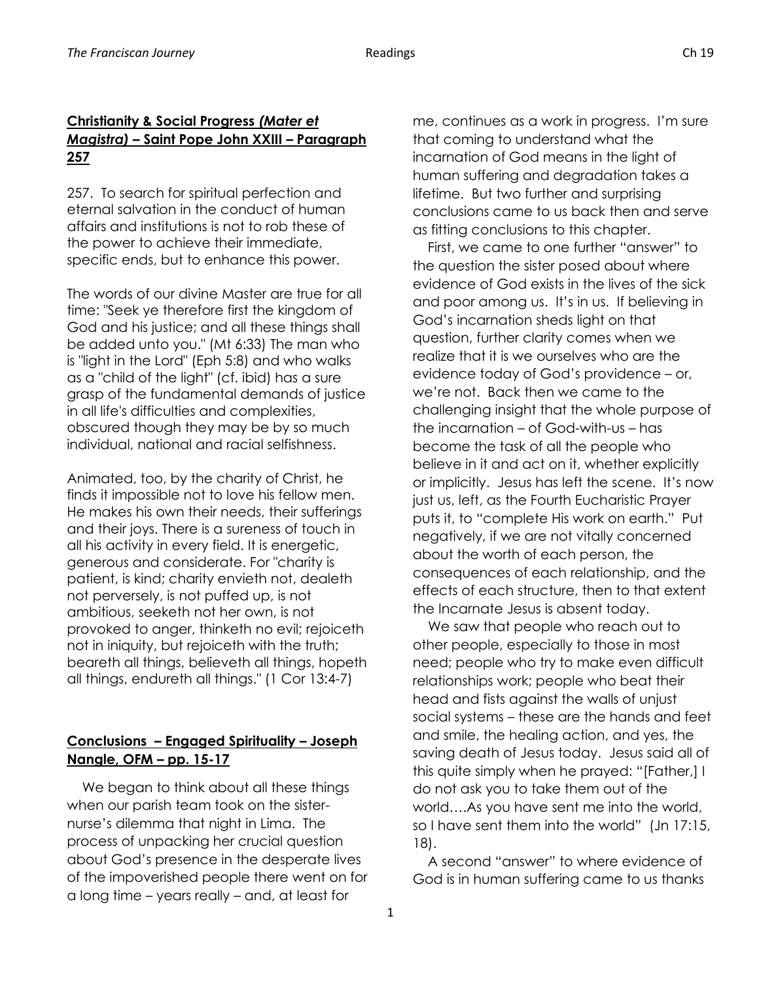## **Christianity & Social Progress** *(Mater et Magistra)* **– Saint Pope John XXIII – Paragraph 257**

257. To search for spiritual perfection and eternal salvation in the conduct of human affairs and institutions is not to rob these of the power to achieve their immediate, specific ends, but to enhance this power.

The words of our divine Master are true for all time: "Seek ye therefore first the kingdom of God and his justice; and all these things shall be added unto you." (Mt 6:33) The man who is "light in the Lord" (Eph 5:8) and who walks as a "child of the light" (cf. ibid) has a sure grasp of the fundamental demands of justice in all life's difficulties and complexities, obscured though they may be by so much individual, national and racial selfishness.

Animated, too, by the charity of Christ, he finds it impossible not to love his fellow men. He makes his own their needs, their sufferings and their joys. There is a sureness of touch in all his activity in every field. It is energetic, generous and considerate. For "charity is patient, is kind; charity envieth not, dealeth not perversely, is not puffed up, is not ambitious, seeketh not her own, is not provoked to anger, thinketh no evil; rejoiceth not in iniquity, but rejoiceth with the truth; beareth all things, believeth all things, hopeth all things, endureth all things." (1 Cor 13:4-7)

## **Conclusions – Engaged Spirituality – Joseph Nangle, OFM – pp. 15-17**

 We began to think about all these things when our parish team took on the sisternurse's dilemma that night in Lima. The process of unpacking her crucial question about God's presence in the desperate lives of the impoverished people there went on for a long time – years really – and, at least for

me, continues as a work in progress. I'm sure that coming to understand what the incarnation of God means in the light of human suffering and degradation takes a lifetime. But two further and surprising conclusions came to us back then and serve as fitting conclusions to this chapter.

 First, we came to one further "answer" to the question the sister posed about where evidence of God exists in the lives of the sick and poor among us. It's in us. If believing in God's incarnation sheds light on that question, further clarity comes when we realize that it is we ourselves who are the evidence today of God's providence – or, we're not. Back then we came to the challenging insight that the whole purpose of the incarnation – of God-with-us – has become the task of all the people who believe in it and act on it, whether explicitly or implicitly. Jesus has left the scene. It's now just us, left, as the Fourth Eucharistic Prayer puts it, to "complete His work on earth." Put negatively, if we are not vitally concerned about the worth of each person, the consequences of each relationship, and the effects of each structure, then to that extent the Incarnate Jesus is absent today.

 We saw that people who reach out to other people, especially to those in most need; people who try to make even difficult relationships work; people who beat their head and fists against the walls of unjust social systems – these are the hands and feet and smile, the healing action, and yes, the saving death of Jesus today. Jesus said all of this quite simply when he prayed: "[Father,] I do not ask you to take them out of the world….As you have sent me into the world, so I have sent them into the world" (Jn 17:15, 18).

 A second "answer" to where evidence of God is in human suffering came to us thanks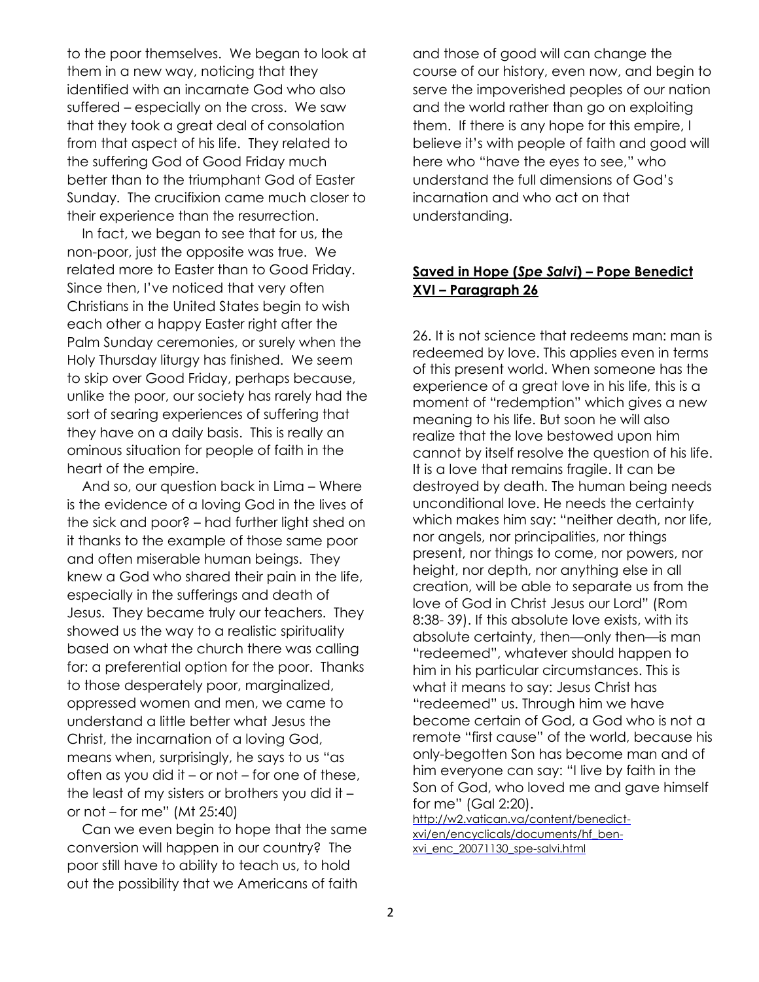to the poor themselves. We began to look at them in a new way, noticing that they identified with an incarnate God who also suffered – especially on the cross. We saw that they took a great deal of consolation from that aspect of his life. They related to the suffering God of Good Friday much better than to the triumphant God of Easter Sunday. The crucifixion came much closer to their experience than the resurrection.

 In fact, we began to see that for us, the non-poor, just the opposite was true. We related more to Easter than to Good Friday. Since then, I've noticed that very often Christians in the United States begin to wish each other a happy Easter right after the Palm Sunday ceremonies, or surely when the Holy Thursday liturgy has finished. We seem to skip over Good Friday, perhaps because, unlike the poor, our society has rarely had the sort of searing experiences of suffering that they have on a daily basis. This is really an ominous situation for people of faith in the heart of the empire.

 And so, our question back in Lima – Where is the evidence of a loving God in the lives of the sick and poor? – had further light shed on it thanks to the example of those same poor and often miserable human beings. They knew a God who shared their pain in the life, especially in the sufferings and death of Jesus. They became truly our teachers. They showed us the way to a realistic spirituality based on what the church there was calling for: a preferential option for the poor. Thanks to those desperately poor, marginalized, oppressed women and men, we came to understand a little better what Jesus the Christ, the incarnation of a loving God, means when, surprisingly, he says to us "as often as you did it – or not – for one of these, the least of my sisters or brothers you did it – or not – for me" (Mt 25:40)

 Can we even begin to hope that the same conversion will happen in our country? The poor still have to ability to teach us, to hold out the possibility that we Americans of faith

and those of good will can change the course of our history, even now, and begin to serve the impoverished peoples of our nation and the world rather than go on exploiting them. If there is any hope for this empire, I believe it's with people of faith and good will here who "have the eyes to see," who understand the full dimensions of God's incarnation and who act on that understanding.

## **Saved in Hope (***Spe Salvi***) – Pope Benedict XVI – Paragraph 26**

26. It is not science that redeems man: man is redeemed by love. This applies even in terms of this present world. When someone has the experience of a great love in his life, this is a moment of "redemption" which gives a new meaning to his life. But soon he will also realize that the love bestowed upon him cannot by itself resolve the question of his life. It is a love that remains fragile. It can be destroyed by death. The human being needs unconditional love. He needs the certainty which makes him say: "neither death, nor life, nor angels, nor principalities, nor things present, nor things to come, nor powers, nor height, nor depth, nor anything else in all creation, will be able to separate us from the love of God in Christ Jesus our Lord" (Rom 8:38- 39). If this absolute love exists, with its absolute certainty, then—only then—is man "redeemed", whatever should happen to him in his particular circumstances. This is what it means to say: Jesus Christ has "redeemed" us. Through him we have become certain of God, a God who is not a remote "first cause" of the world, because his only-begotten Son has become man and of him everyone can say: "I live by faith in the Son of God, who loved me and gave himself for me" (Gal 2:20).

[http://w2.vatican.va/content/benedict](http://w2.vatican.va/content/benedict-xvi/en/encyclicals/documents/hf_ben-xvi_enc_20071130_spe-salvi.html)[xvi/en/encyclicals/documents/hf\\_ben](http://w2.vatican.va/content/benedict-xvi/en/encyclicals/documents/hf_ben-xvi_enc_20071130_spe-salvi.html)[xvi\\_enc\\_20071130\\_spe-salvi.html](http://w2.vatican.va/content/benedict-xvi/en/encyclicals/documents/hf_ben-xvi_enc_20071130_spe-salvi.html)